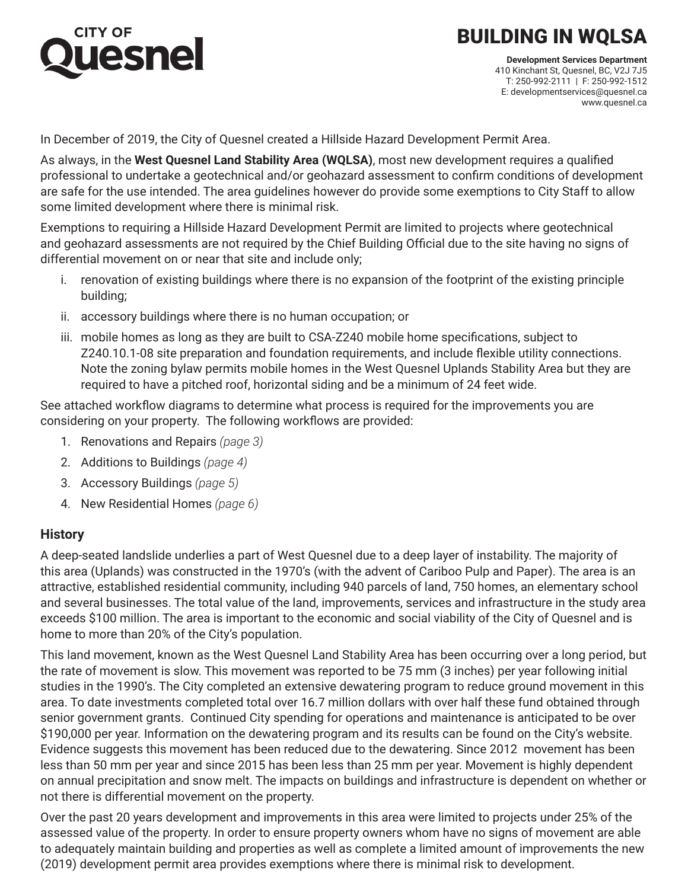# lesnel

# BUILDING IN WQLSA

**Development Services Department** 410 Kinchant St, Quesnel, BC, V2J 7J5 T: 250-992-2111 | F: 250-992-1512 E: developmentservices@quesnel.ca www.quesnel.ca

In December of 2019, the City of Quesnel created a Hillside Hazard Development Permit Area.

As always, in the **West Quesnel Land Stability Area (WQLSA)**, most new development requires a qualified professional to undertake a geotechnical and/or geohazard assessment to confirm conditions of development are safe for the use intended. The area guidelines however do provide some exemptions to City Staff to allow some limited development where there is minimal risk.

Exemptions to requiring a Hillside Hazard Development Permit are limited to projects where geotechnical and geohazard assessments are not required by the Chief Building Official due to the site having no signs of differential movement on or near that site and include only;

- i. renovation of existing buildings where there is no expansion of the footprint of the existing principle building;
- ii. accessory buildings where there is no human occupation; or
- iii. mobile homes as long as they are built to CSA-Z240 mobile home specifications, subject to Z240.10.1-08 site preparation and foundation requirements, and include flexible utility connections. Note the zoning bylaw permits mobile homes in the West Quesnel Uplands Stability Area but they are required to have a pitched roof, horizontal siding and be a minimum of 24 feet wide.

See attached workflow diagrams to determine what process is required for the improvements you are considering on your property. The following workflows are provided:

- 1. Renovations and Repairs *(page 3)*
- 2. Additions to Buildings *(page 4)*
- 3. Accessory Buildings *(page 5)*
- 4. New Residential Homes *(page 6)*

#### **History**

A deep-seated landslide underlies a part of West Quesnel due to a deep layer of instability. The majority of this area (Uplands) was constructed in the 1970's (with the advent of Cariboo Pulp and Paper). The area is an attractive, established residential community, including 940 parcels of land, 750 homes, an elementary school and several businesses. The total value of the land, improvements, services and infrastructure in the study area exceeds \$100 million. The area is important to the economic and social viability of the City of Quesnel and is home to more than 20% of the City's population.

This land movement, known as the West Quesnel Land Stability Area has been occurring over a long period, but the rate of movement is slow. This movement was reported to be 75 mm (3 inches) per year following initial studies in the 1990's. The City completed an extensive dewatering program to reduce ground movement in this area. To date investments completed total over 16.7 million dollars with over half these fund obtained through senior government grants. Continued City spending for operations and maintenance is anticipated to be over \$190,000 per year. Information on the dewatering program and its results can be found on the City's website. Evidence suggests this movement has been reduced due to the dewatering. Since 2012 movement has been less than 50 mm per year and since 2015 has been less than 25 mm per year. Movement is highly dependent on annual precipitation and snow melt. The impacts on buildings and infrastructure is dependent on whether or not there is differential movement on the property.

Over the past 20 years development and improvements in this area were limited to projects under 25% of the assessed value of the property. In order to ensure property owners whom have no signs of movement are able to adequately maintain building and properties as well as complete a limited amount of improvements the new (2019) development permit area provides exemptions where there is minimal risk to development.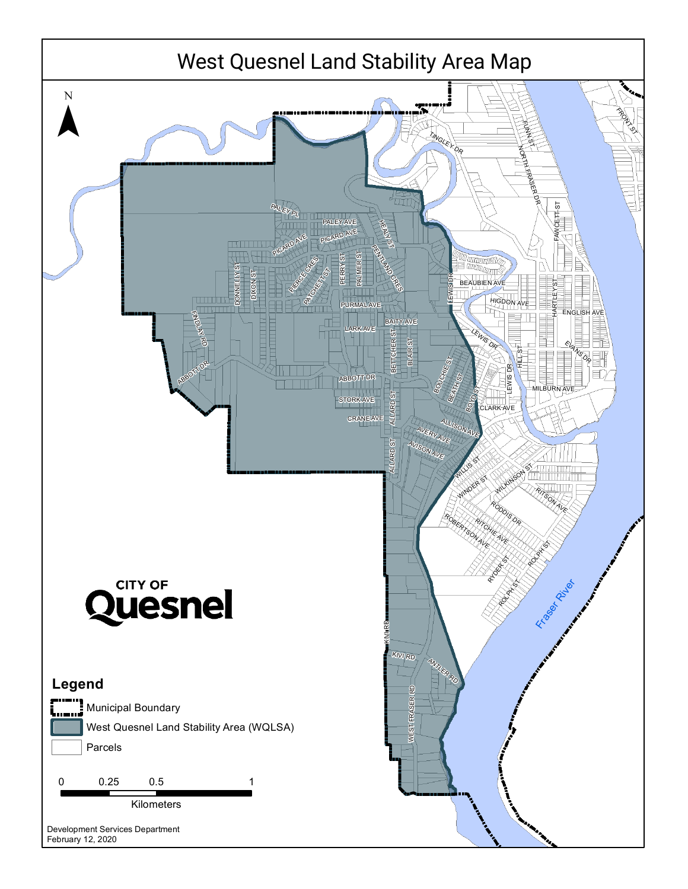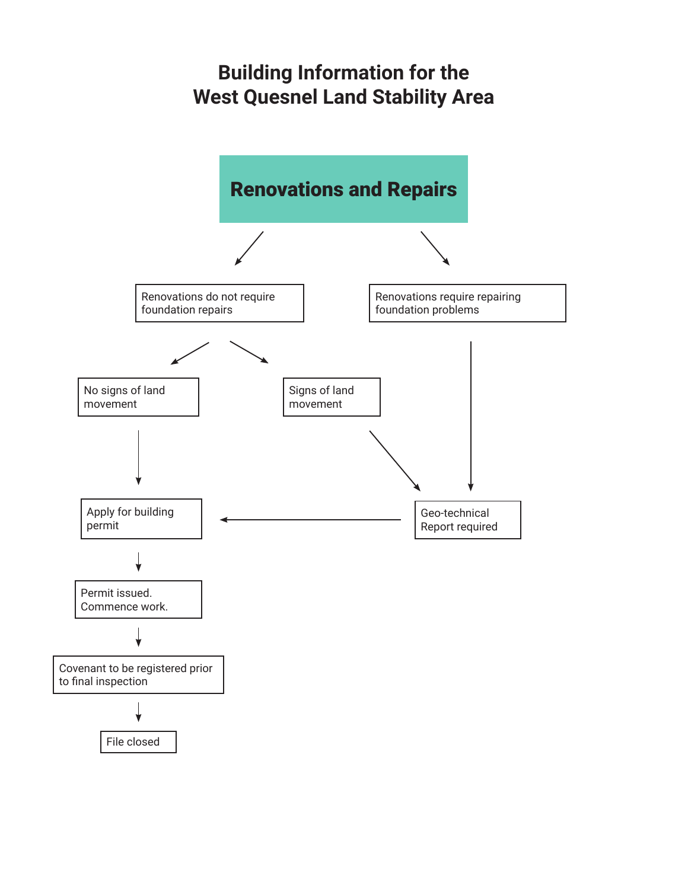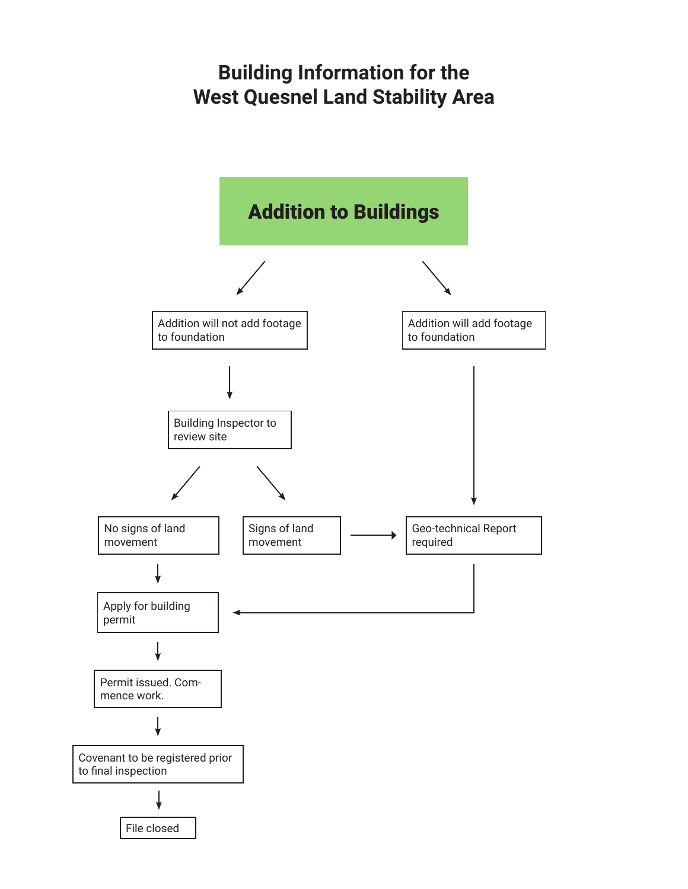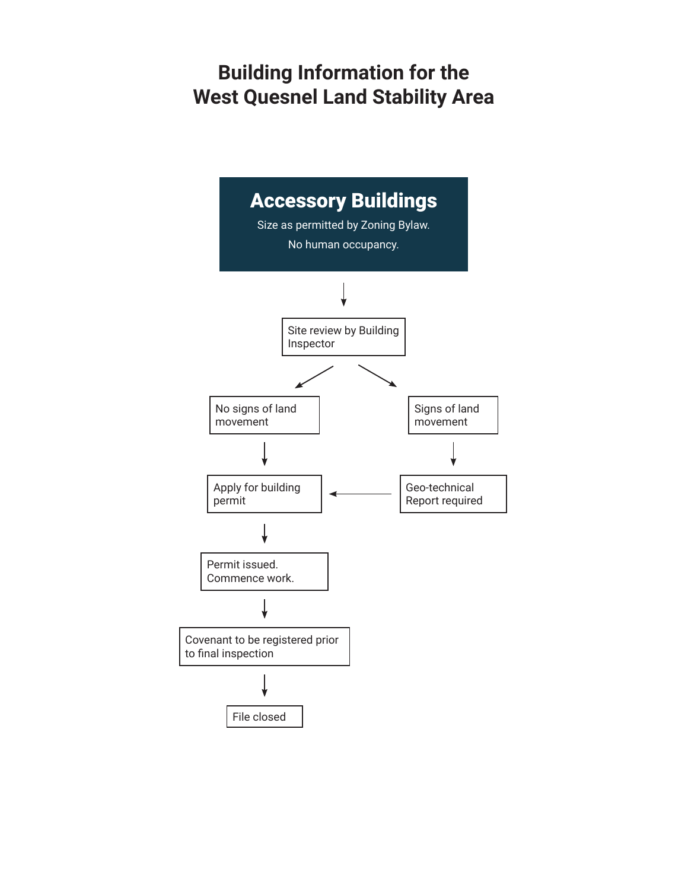